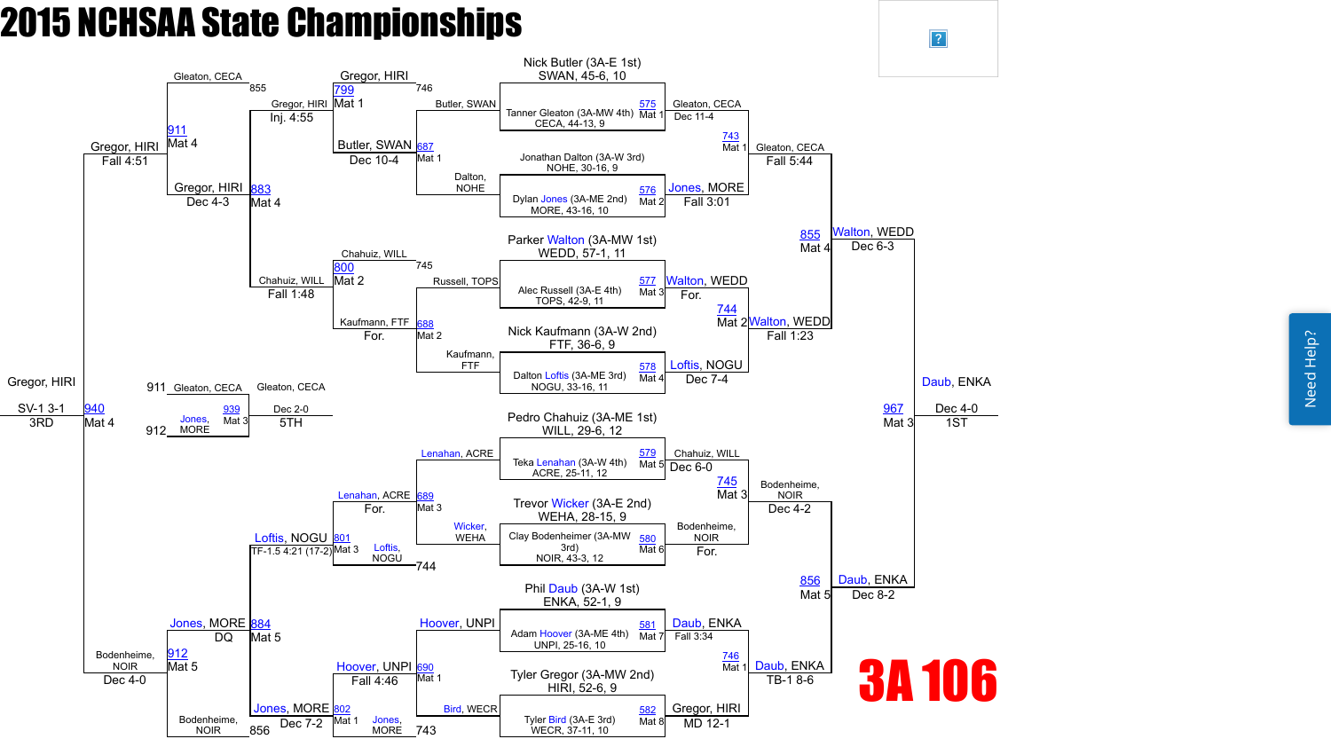Need Help? Need Help?



 $\vert$ ?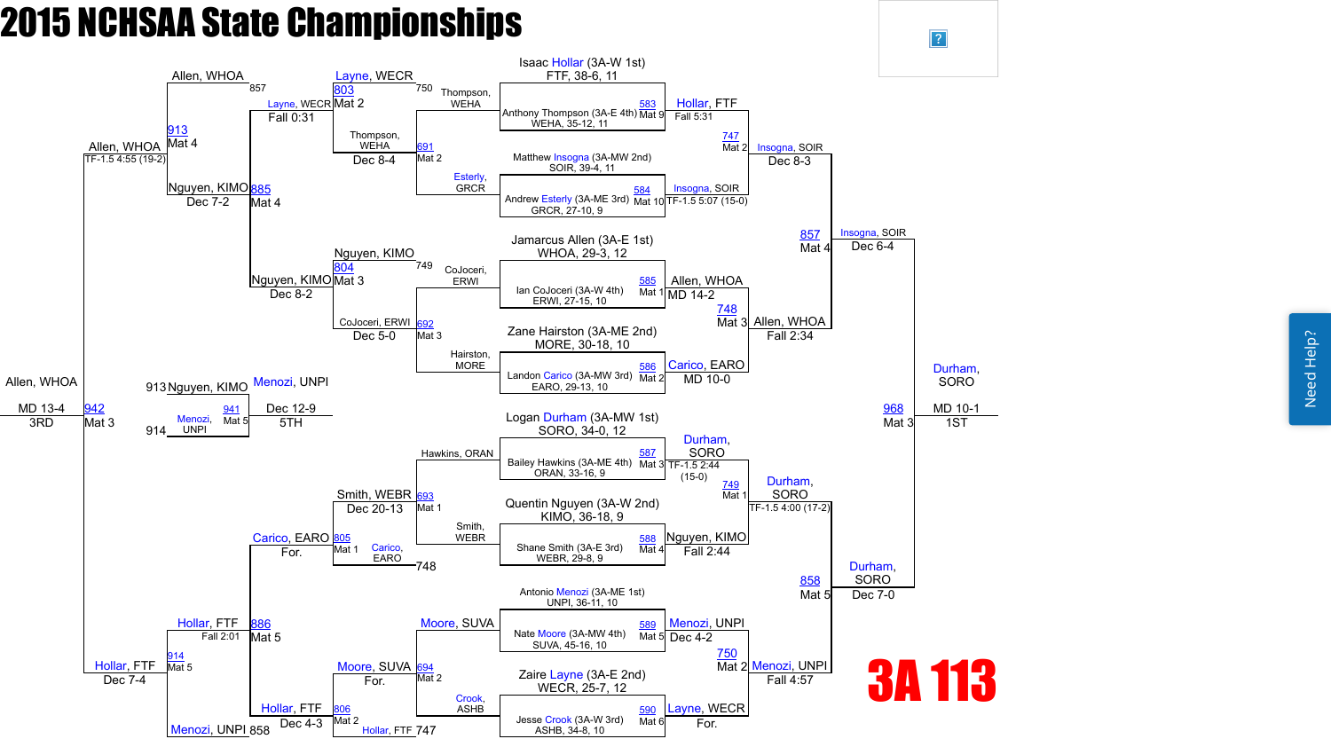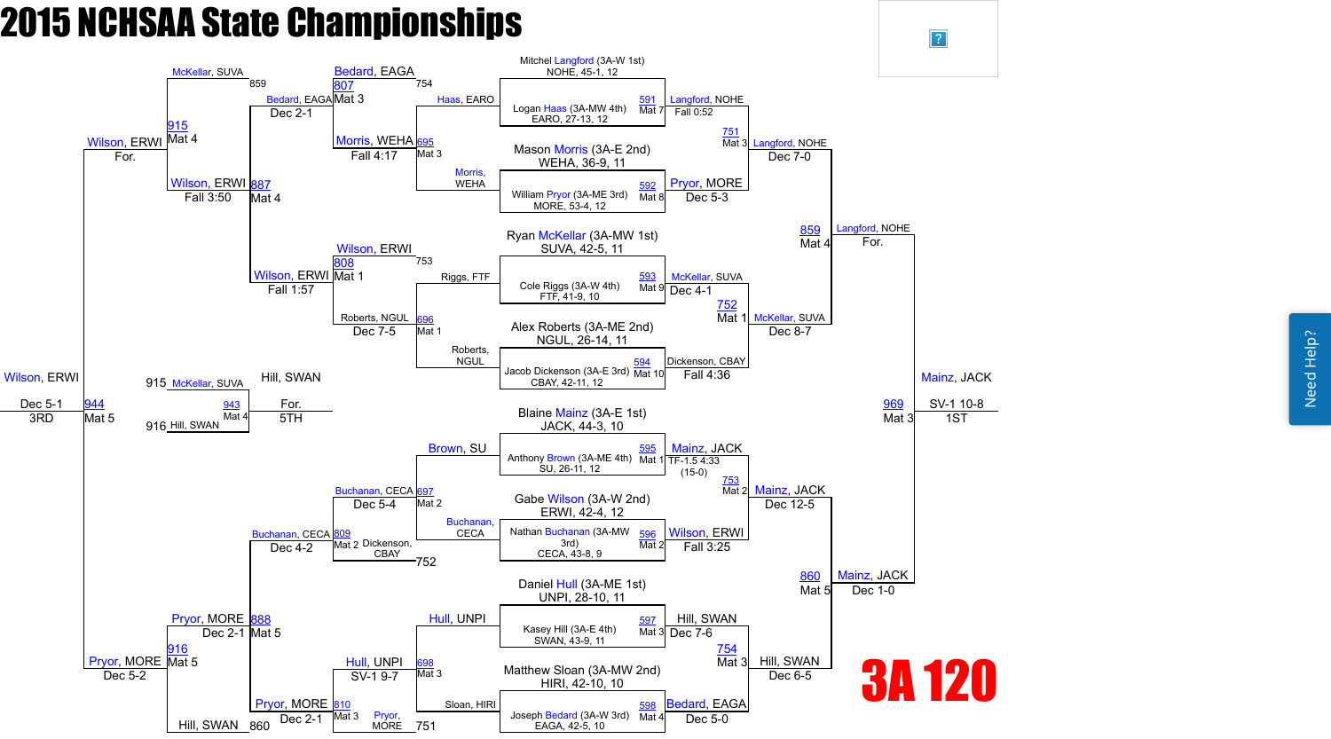Need Help? Need Help?



 $\sqrt{?}$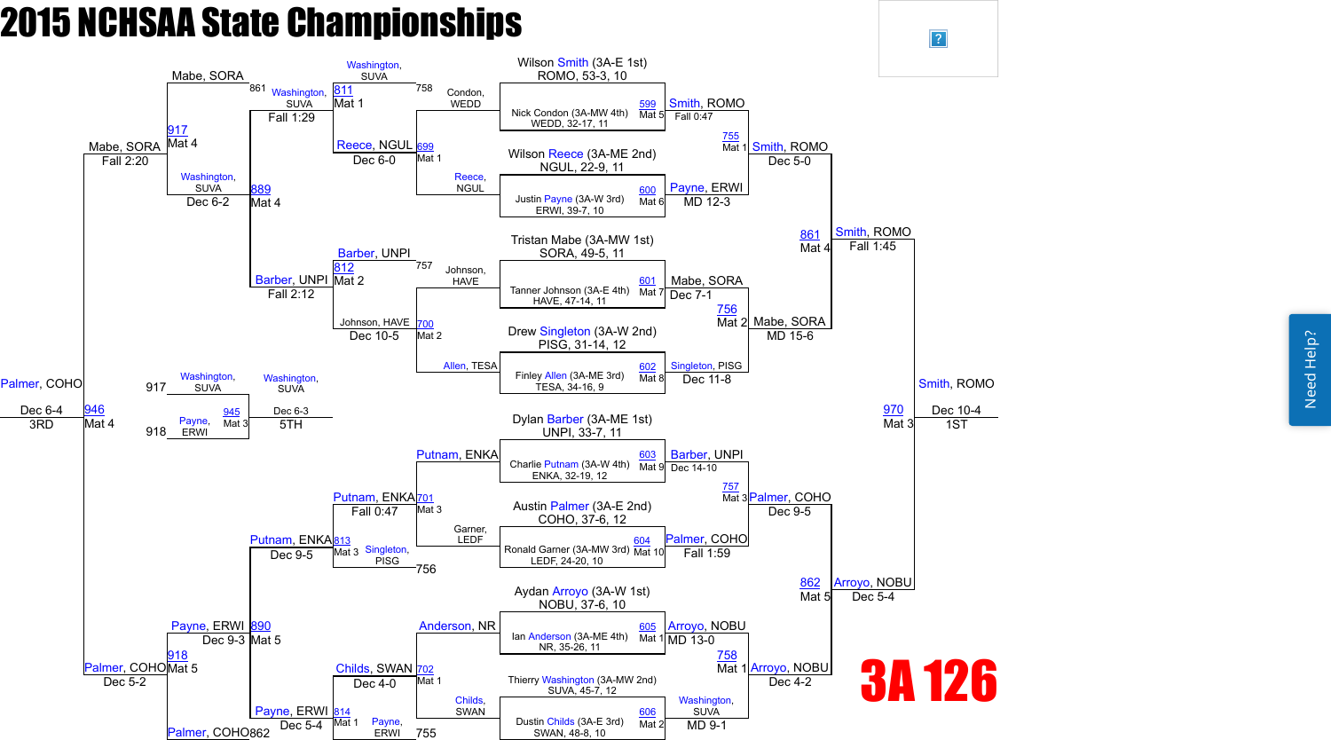Need Help? Need Help?



 $\boxed{?}$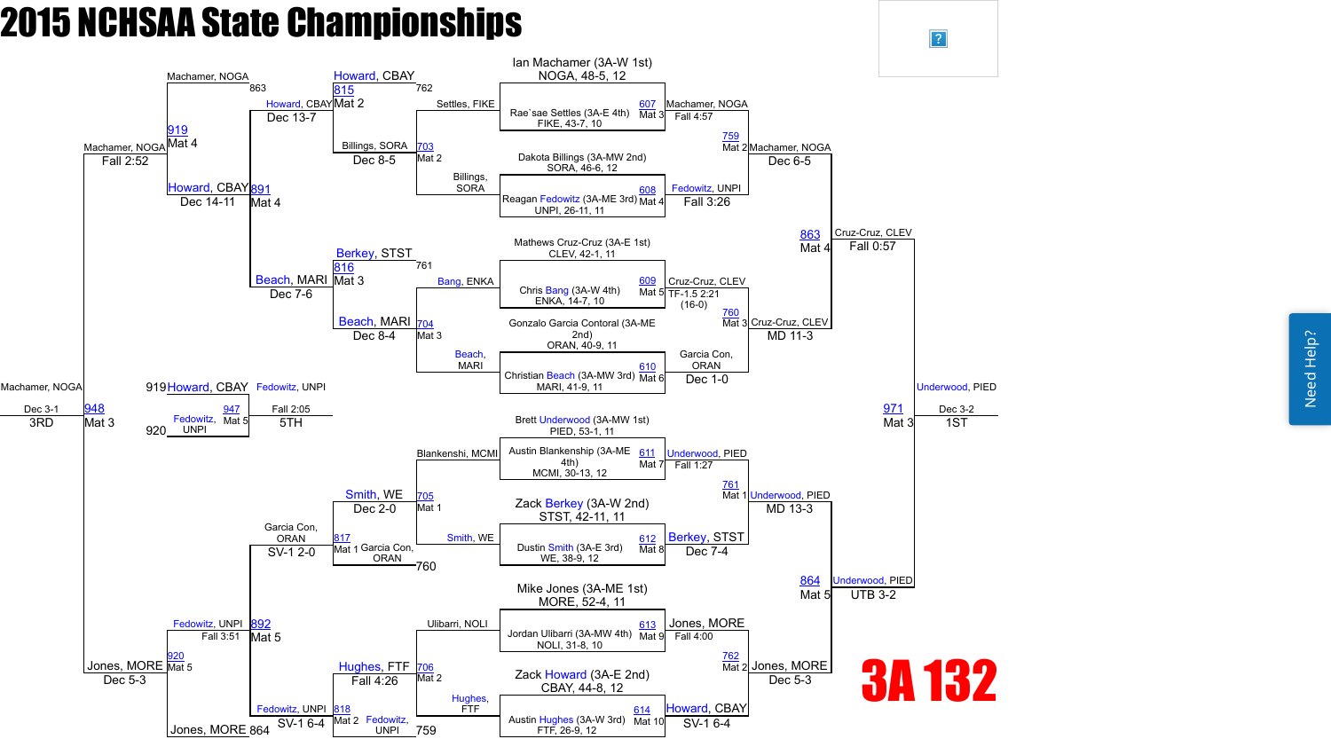

 $\vert$ ?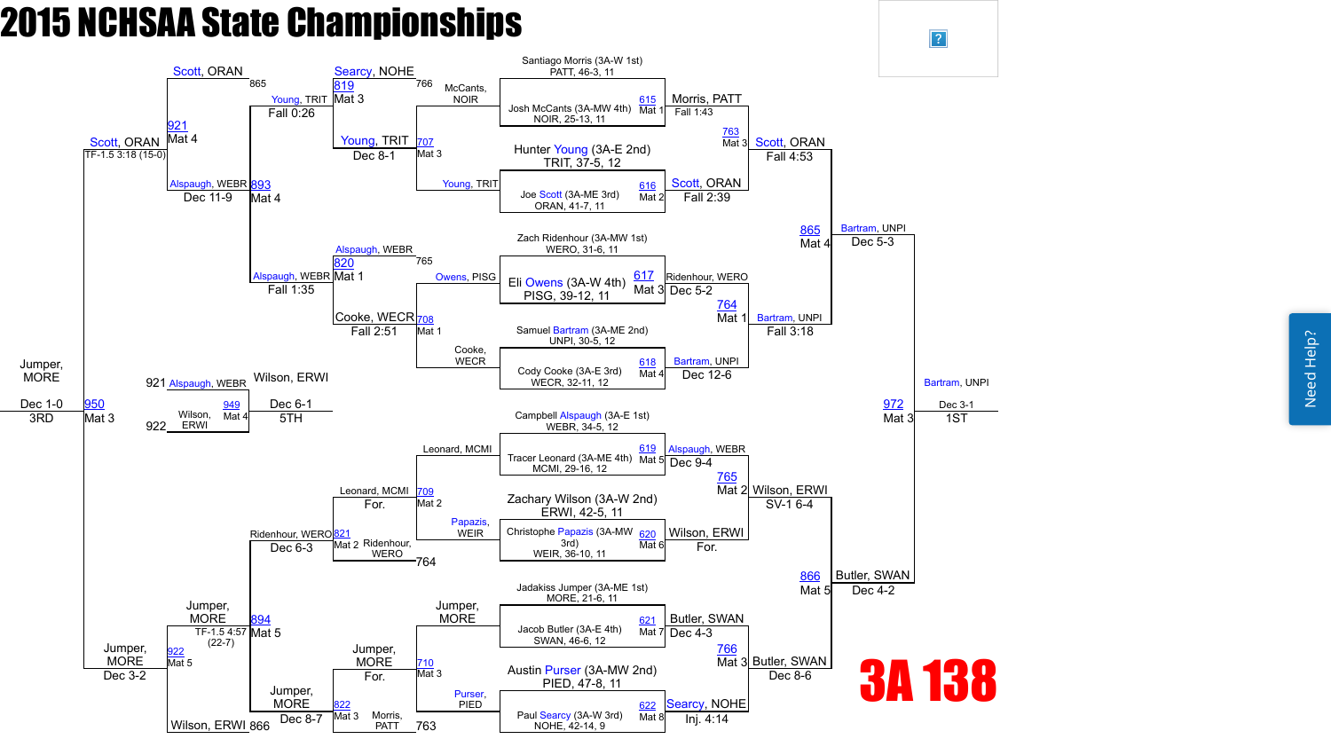Need Help? Need Help?



 $\overline{?}$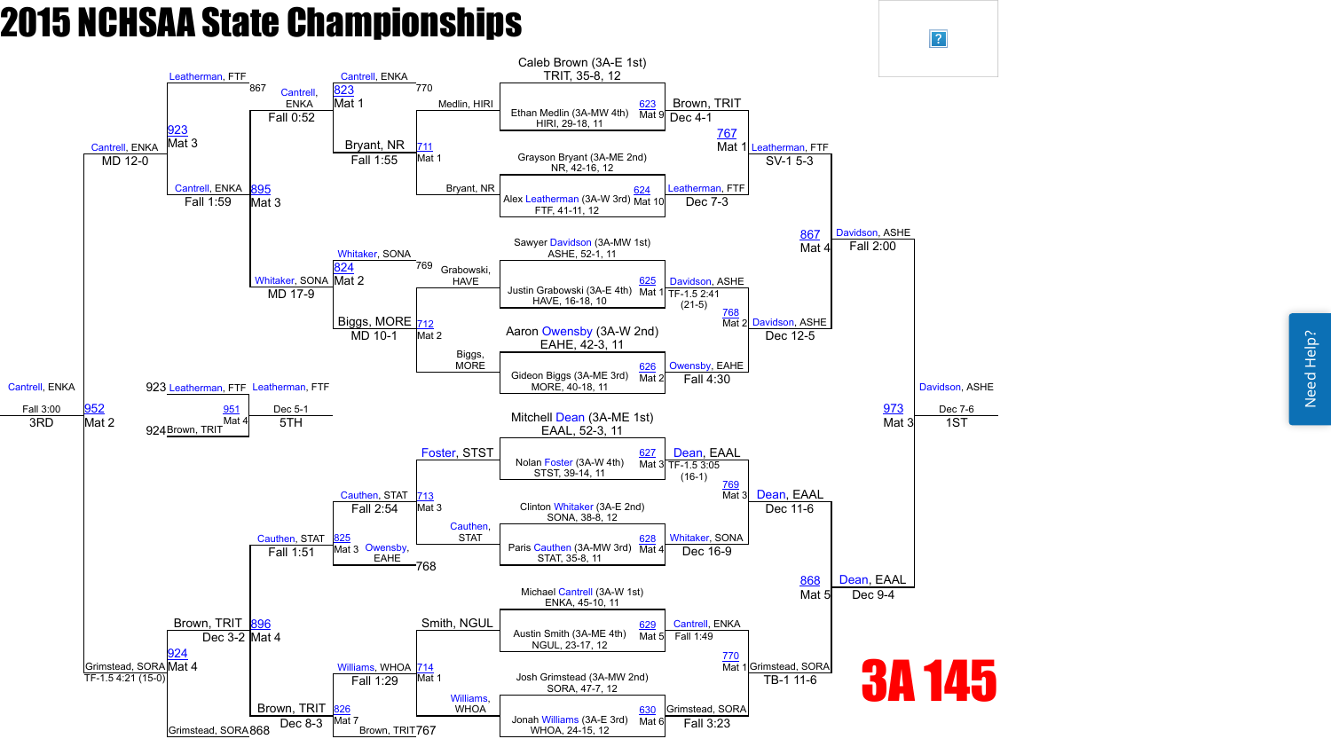

 $\vert$ ?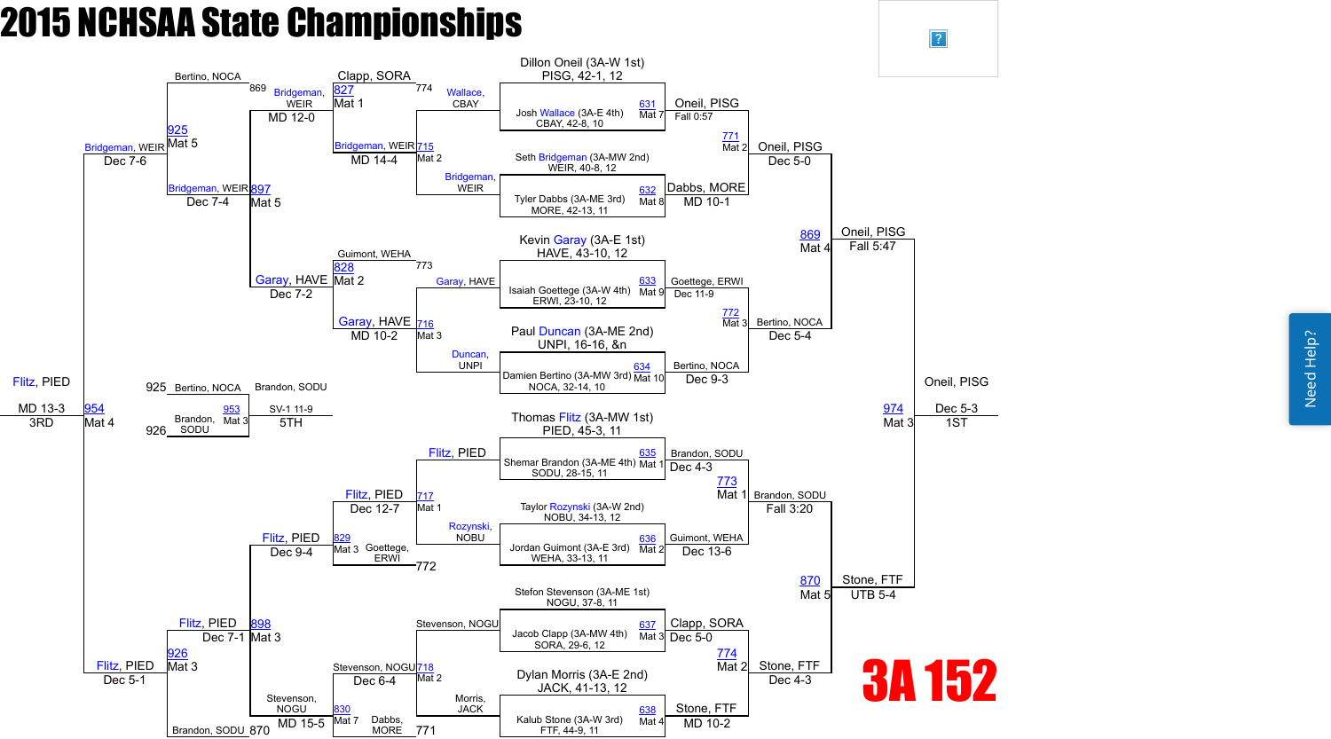Need Help? Need Help?



 $\overline{?}$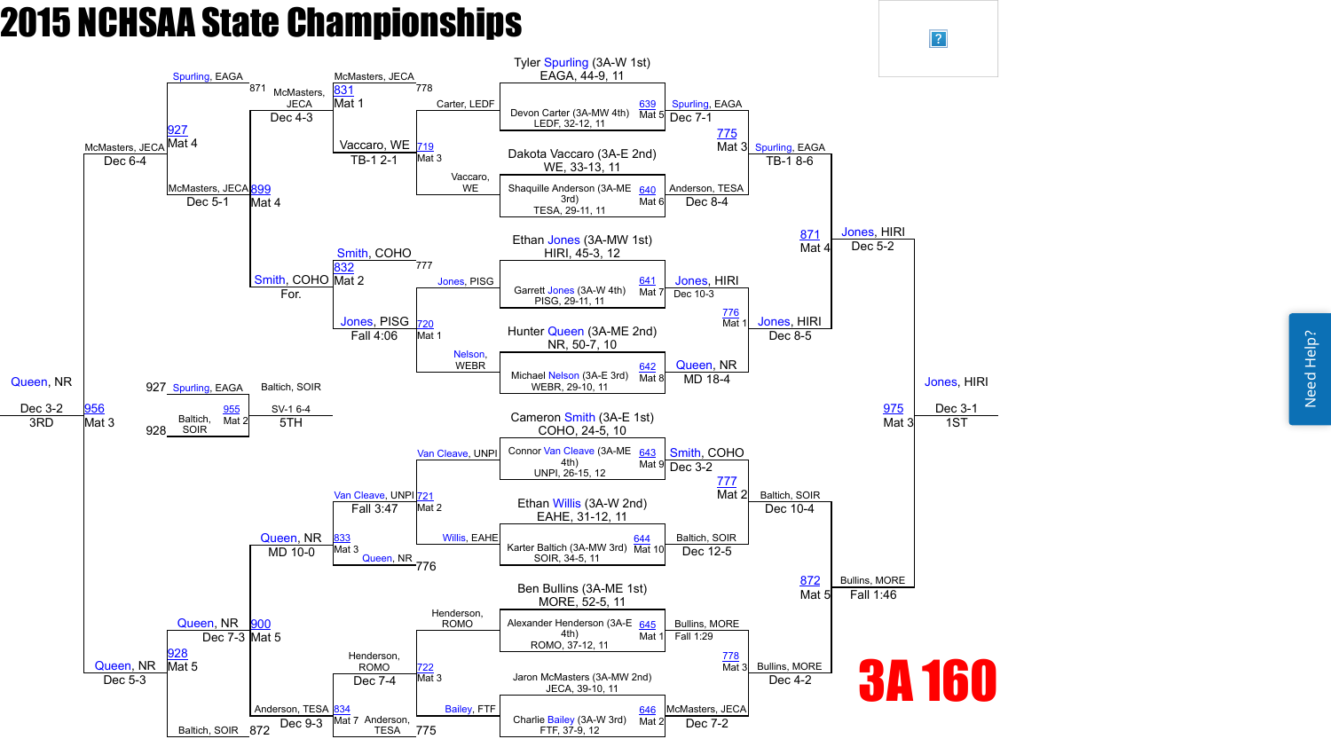Need Help? Need Help?



 $\sqrt{?}$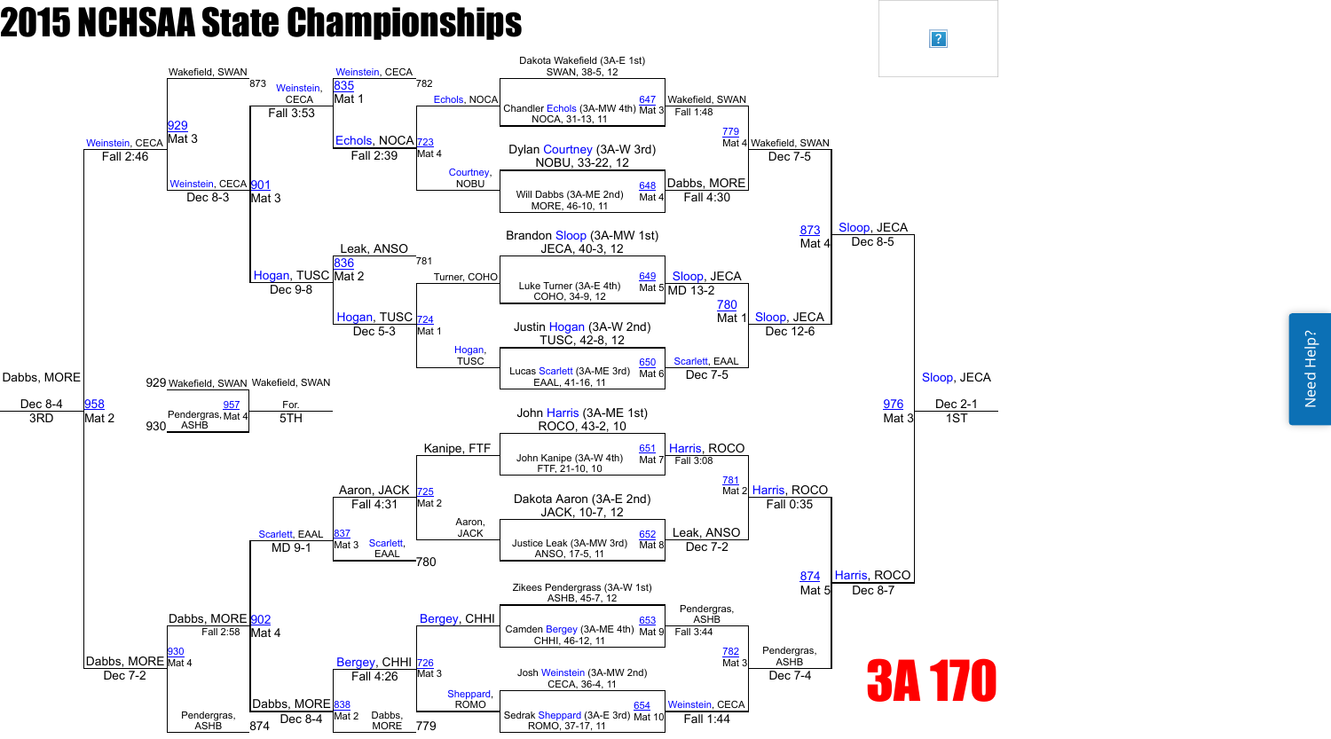Need Help? Need Help?



 $\overline{?}$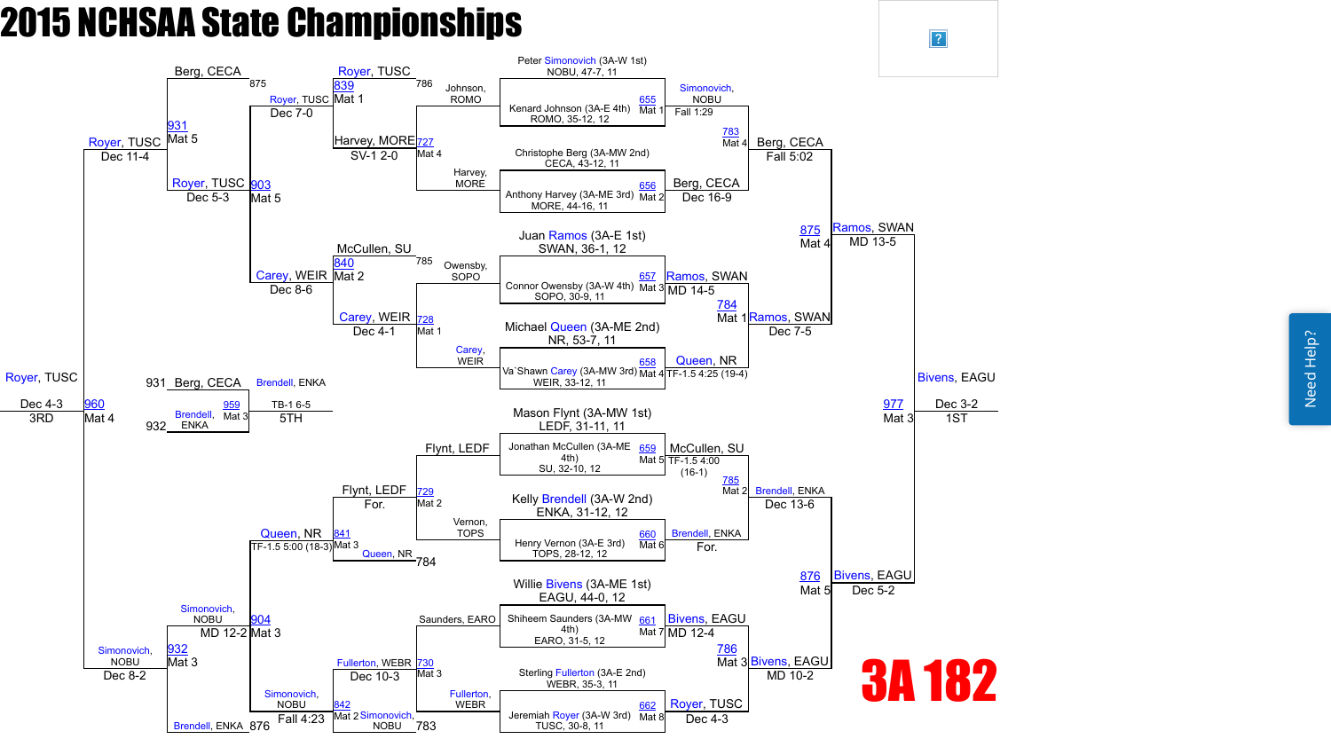

 $\sqrt{?}$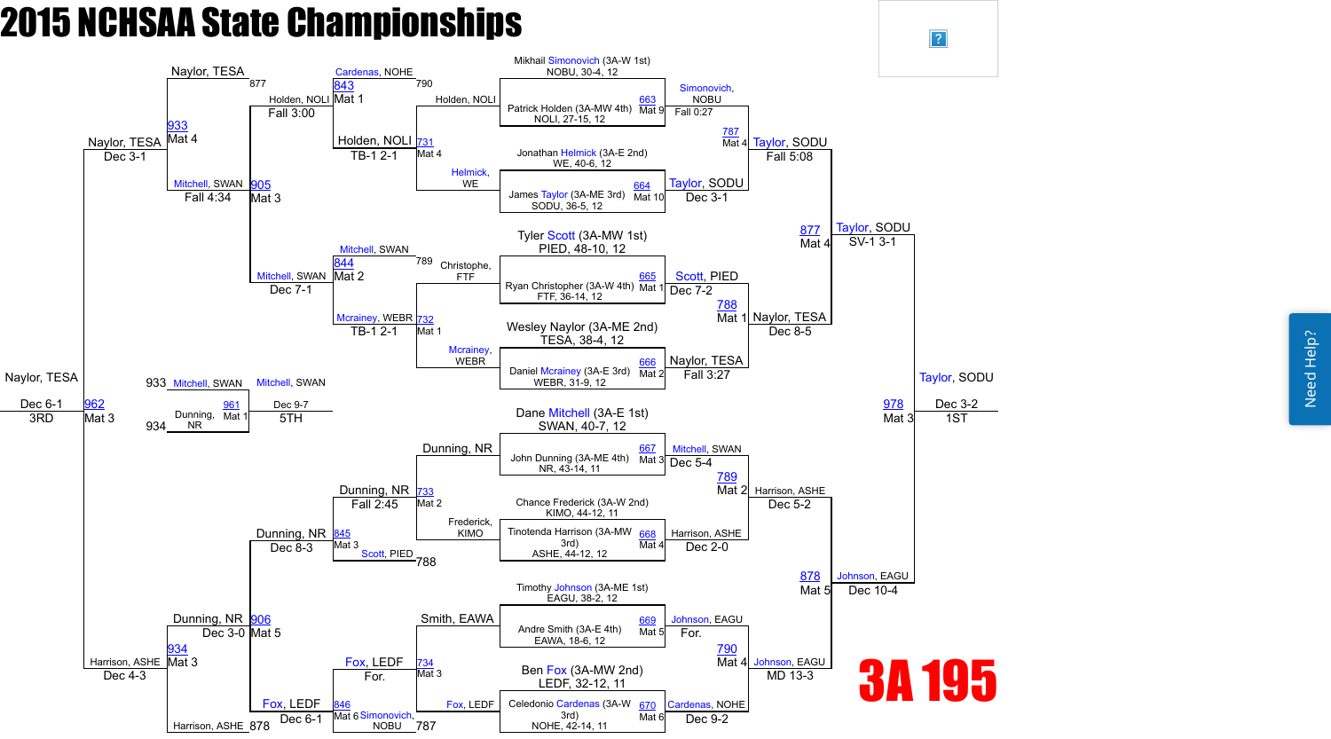Need Help? Need Help?



 $\vert$ ?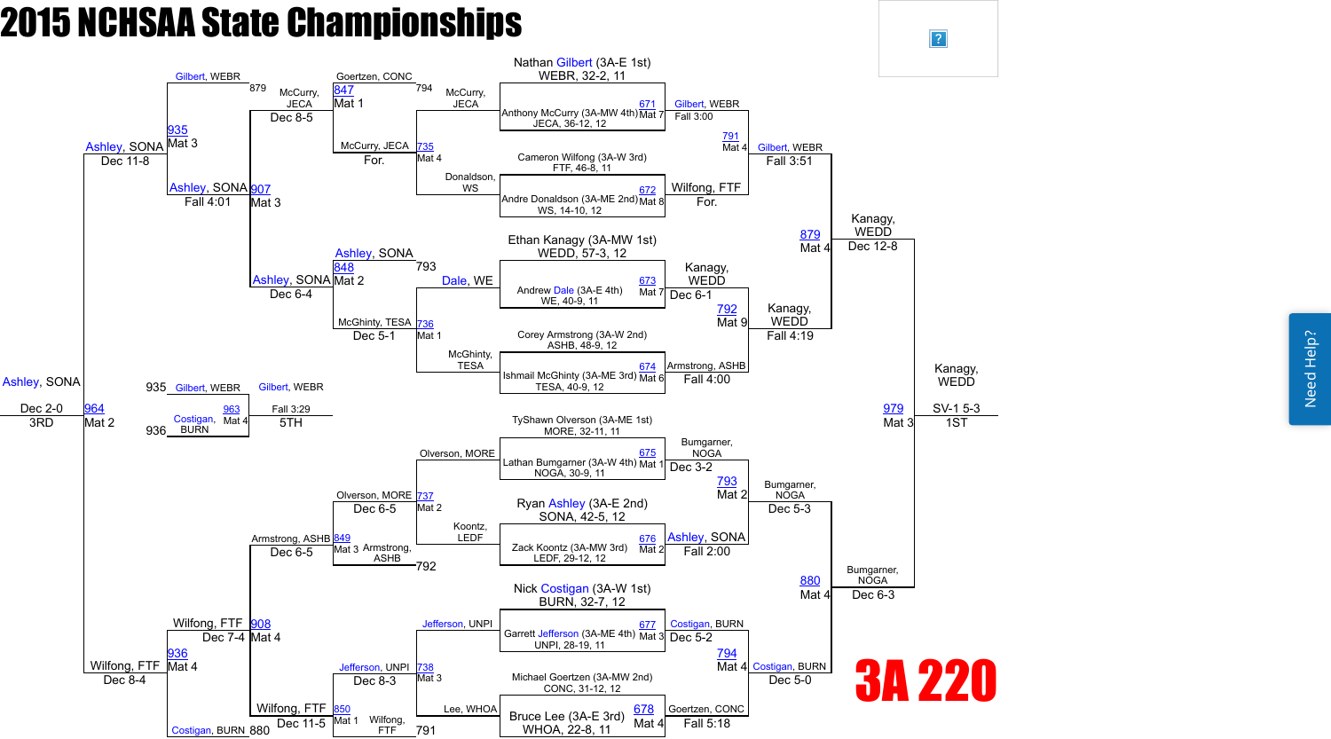

 $\vert$ ?